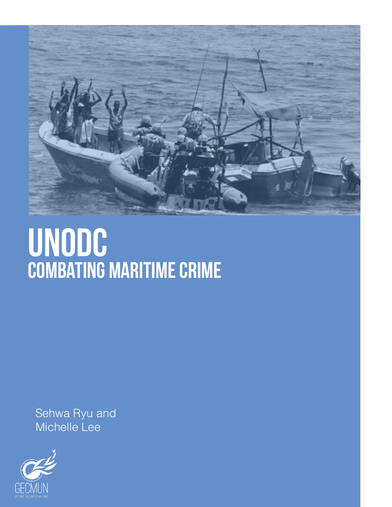

## UNODC combating maritime crime

Sehwa Ryu and Michelle Lee

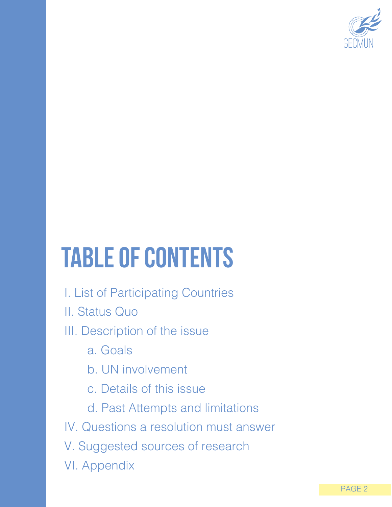

# table of contents

- I. List of Participating Countries
- II. Status Quo

### III. Description of the issue

- a. Goals
- b. UN involvement
- c. Details of this issue
- d. Past Attempts and limitations
- IV. Questions a resolution must answer
- V. Suggested sources of research
- VI. Appendix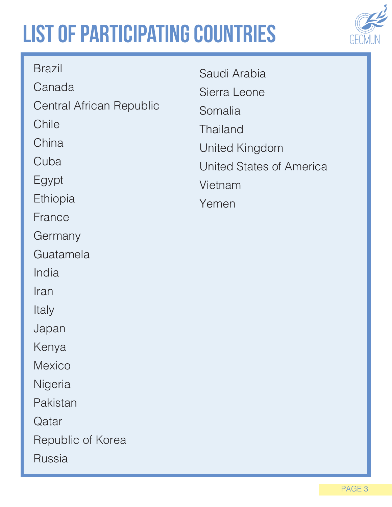## list of participating countries



| <b>Brazil</b>            | Saudi Arabia             |
|--------------------------|--------------------------|
| Canada                   | Sierra Leone             |
| Central African Republic | Somalia                  |
| Chile                    | <b>Thailand</b>          |
| China                    | United Kingdom           |
| Cuba                     | United States of America |
| Egypt                    | Vietnam                  |
| Ethiopia                 | Yemen                    |
| France                   |                          |
| Germany                  |                          |
| Guatamela                |                          |
| India                    |                          |
| Iran                     |                          |
| Italy                    |                          |
| Japan                    |                          |
| Kenya                    |                          |
| <b>Mexico</b>            |                          |
| Nigeria                  |                          |
| Pakistan                 |                          |
| Qatar                    |                          |
| Republic of Korea        |                          |
| <b>Russia</b>            |                          |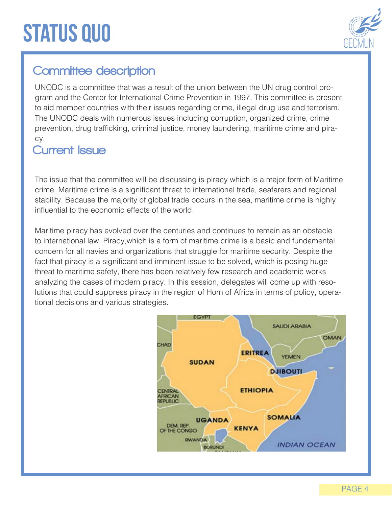### **STATUS QUO**



### Committee description

UNODC is a committee that was a result of the union between the UN drug control program and the Center for International Crime Prevention in 1997. This committee is present to aid member countries with their issues regarding crime, illegal drug use and terrorism. The UNODC deals with numerous issues including corruption, organized crime, crime prevention, drug trafficking, criminal justice, money laundering, maritime crime and piracy.

#### Current Issue

The issue that the committee will be discussing is piracy which is a major form of Maritime crime. Maritime crime is a significant threat to international trade, seafarers and regional stability. Because the majority of global trade occurs in the sea, maritime crime is highly influential to the economic effects of the world.

Maritime piracy has evolved over the centuries and continues to remain as an obstacle to international law. Piracy,which is a form of maritime crime is a basic and fundamental concern for all navies and organizations that struggle for maritime security. Despite the fact that piracy is a significant and imminent issue to be solved, which is posing huge threat to maritime safety, there has been relatively few research and academic works analyzing the cases of modern piracy. In this session, delegates will come up with resolutions that could suppress piracy in the region of Horn of Africa in terms of policy, operational decisions and various strategies.

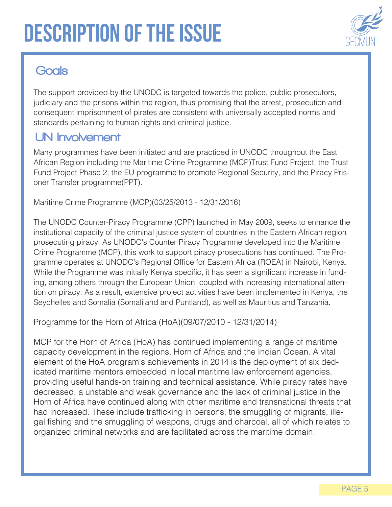

### **Goals**

The support provided by the UNODC is targeted towards the police, public prosecutors, judiciary and the prisons within the region, thus promising that the arrest, prosecution and consequent imprisonment of pirates are consistent with universally accepted norms and standards pertaining to human rights and criminal justice.

#### UN Involvement

Many programmes have been initiated and are practiced in UNODC throughout the East African Region including the Maritime Crime Programme (MCP)Trust Fund Project, the Trust Fund Project Phase 2, the EU programme to promote Regional Security, and the Piracy Prisoner Transfer programme(PPT).

Maritime Crime Programme (MCP)(03/25/2013 - 12/31/2016)

The UNODC Counter-Piracy Programme (CPP) launched in May 2009, seeks to enhance the institutional capacity of the criminal justice system of countries in the Eastern African region prosecuting piracy. As UNODC's Counter Piracy Programme developed into the Maritime Crime Programme (MCP), this work to support piracy prosecutions has continued. The Programme operates at UNODC's Regional Office for Eastern Africa (ROEA) in Nairobi, Kenya. While the Programme was initially Kenya specific, it has seen a significant increase in funding, among others through the European Union, coupled with increasing international attention on piracy. As a result, extensive project activities have been implemented in Kenya, the Seychelles and Somalia (Somaliland and Puntland), as well as Mauritius and Tanzania.

Programme for the Horn of Africa (HoA)(09/07/2010 - 12/31/2014)

MCP for the Horn of Africa (HoA) has continued implementing a range of maritime capacity development in the regions, Horn of Africa and the Indian Ocean. A vital element of the HoA program's achievements in 2014 is the deployment of six dedicated maritime mentors embedded in local maritime law enforcement agencies, providing useful hands-on training and technical assistance. While piracy rates have decreased, a unstable and weak governance and the lack of criminal justice in the Horn of Africa have continued along with other maritime and transnational threats that had increased. These include trafficking in persons, the smuggling of migrants, illegal fishing and the smuggling of weapons, drugs and charcoal, all of which relates to organized criminal networks and are facilitated across the maritime domain.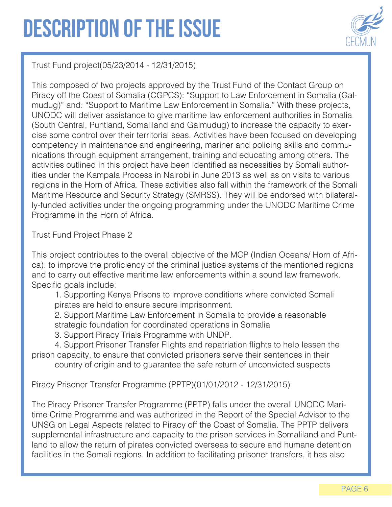

Trust Fund project(05/23/2014 - 12/31/2015)

This composed of two projects approved by the Trust Fund of the Contact Group on Piracy off the Coast of Somalia (CGPCS): "Support to Law Enforcement in Somalia (Galmudug)" and: "Support to Maritime Law Enforcement in Somalia." With these projects, UNODC will deliver assistance to give maritime law enforcement authorities in Somalia (South Central, Puntland, Somaliland and Galmudug) to increase the capacity to exercise some control over their territorial seas. Activities have been focused on developing competency in maintenance and engineering, mariner and policing skills and communications through equipment arrangement, training and educating among others. The activities outlined in this project have been identified as necessities by Somali authorities under the Kampala Process in Nairobi in June 2013 as well as on visits to various regions in the Horn of Africa. These activities also fall within the framework of the Somali Maritime Resource and Security Strategy (SMRSS). They will be endorsed with bilaterally-funded activities under the ongoing programming under the UNODC Maritime Crime Programme in the Horn of Africa.

Trust Fund Project Phase 2

This project contributes to the overall objective of the MCP (Indian Oceans/ Horn of Africa): to improve the proficiency of the criminal justice systems of the mentioned regions and to carry out effective maritime law enforcements within a sound law framework. Specific goals include:

1. Supporting Kenya Prisons to improve conditions where convicted Somali pirates are held to ensure secure imprisonment.

2. Support Maritime Law Enforcement in Somalia to provide a reasonable strategic foundation for coordinated operations in Somalia

3. Support Piracy Trials Programme with UNDP.

4. Support Prisoner Transfer Flights and repatriation flights to help lessen the prison capacity, to ensure that convicted prisoners serve their sentences in their country of origin and to guarantee the safe return of unconvicted suspects

Piracy Prisoner Transfer Programme (PPTP)(01/01/2012 - 12/31/2015)

The Piracy Prisoner Transfer Programme (PPTP) falls under the overall UNODC Maritime Crime Programme and was authorized in the Report of the Special Advisor to the UNSG on Legal Aspects related to Piracy off the Coast of Somalia. The PPTP delivers supplemental infrastructure and capacity to the prison services in Somaliland and Puntland to allow the return of pirates convicted overseas to secure and humane detention facilities in the Somali regions. In addition to facilitating prisoner transfers, it has also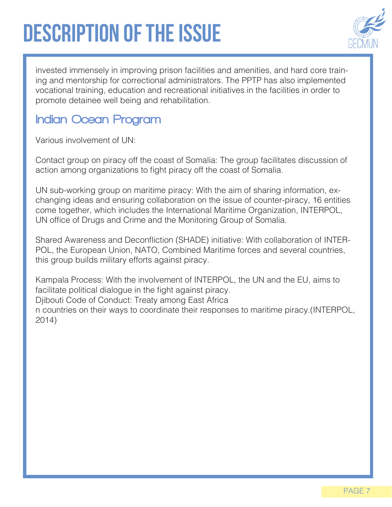

invested immensely in improving prison facilities and amenities, and hard core training and mentorship for correctional administrators. The PPTP has also implemented vocational training, education and recreational initiatives in the facilities in order to promote detainee well being and rehabilitation.

#### Indian Ocean Program

Various involvement of UN:

Contact group on piracy off the coast of Somalia: The group facilitates discussion of action among organizations to fight piracy off the coast of Somalia.

UN sub-working group on maritime piracy: With the aim of sharing information, exchanging ideas and ensuring collaboration on the issue of counter-piracy, 16 entities come together, which includes the International Maritime Organization, INTERPOL, UN office of Drugs and Crime and the Monitoring Group of Somalia.

Shared Awareness and Deconfliction (SHADE) initiative: With collaboration of INTER-POL, the European Union, NATO, Combined Maritime forces and several countries, this group builds military efforts against piracy.

Kampala Process: With the involvement of INTERPOL, the UN and the EU, aims to facilitate political dialogue in the fight against piracy.

Djibouti Code of Conduct: Treaty among East Africa

n countries on their ways to coordinate their responses to maritime piracy.(INTERPOL, 2014)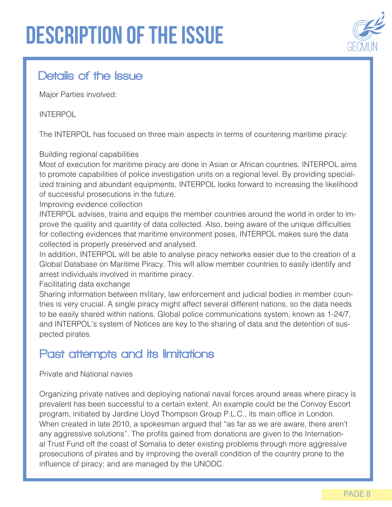

#### Details of the Issue

Major Parties involved:

#### INTERPOL

The INTERPOL has focused on three main aspects in terms of countering maritime piracy:

#### Building regional capabilities

Most of execution for maritime piracy are done in Asian or African countries. INTERPOL aims to promote capabilities of police investigation units on a regional level. By providing specialized training and abundant equipments, INTERPOL looks forward to increasing the likelihood of successful prosecutions in the future.

Improving evidence collection

INTERPOL advises, trains and equips the member countries around the world in order to improve the quality and quantity of data collected. Also, being aware of the unique difficulties for collecting evidences that maritime environment poses, INTERPOL makes sure the data collected is properly preserved and analysed.

In addition, INTERPOL will be able to analyse piracy networks easier due to the creation of a Global Database on Maritime Piracy. This will allow member countries to easily identify and arrest individuals involved in maritime piracy.

Facilitating data exchange

Sharing information between military, law enforcement and judicial bodies in member countries is very crucial. A single piracy might affect several different nations, so the data needs to be easily shared within nations. Global police communications system, known as 1-24/7, and INTERPOL's system of Notices are key to the sharing of data and the detention of suspected pirates.

#### Past attempts and its limitations

#### Private and National navies

Organizing private natives and deploying national naval forces around areas where piracy is prevalent has been successful to a certain extent. An example could be the Convoy Escort program, initiated by Jardine Lloyd Thompson Group P.L.C., its main office in London. When created in late 2010, a spokesman argued that "as far as we are aware, there aren't any aggressive solutions". The profits gained from donations are given to the International Trust Fund off the coast of Somalia to deter existing problems through more aggressive prosecutions of pirates and by improving the overall condition of the country prone to the influence of piracy; and are managed by the UNODC.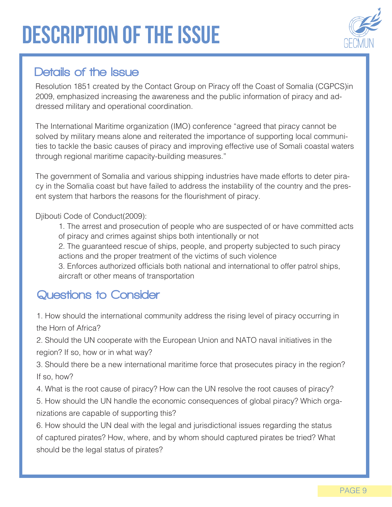

#### Details of the Issue

Resolution 1851 created by the Contact Group on Piracy off the Coast of Somalia (CGPCS)in 2009, emphasized increasing the awareness and the public information of piracy and addressed military and operational coordination.

The International Maritime organization (IMO) conference "agreed that piracy cannot be solved by military means alone and reiterated the importance of supporting local communities to tackle the basic causes of piracy and improving effective use of Somali coastal waters through regional maritime capacity-building measures."

The government of Somalia and various shipping industries have made efforts to deter piracy in the Somalia coast but have failed to address the instability of the country and the present system that harbors the reasons for the flourishment of piracy.

Djibouti Code of Conduct(2009):

- 1. The arrest and prosecution of people who are suspected of or have committed acts of piracy and crimes against ships both intentionally or not
- 2. The guaranteed rescue of ships, people, and property subjected to such piracy actions and the proper treatment of the victims of such violence
- 3. Enforces authorized officials both national and international to offer patrol ships, aircraft or other means of transportation

### Questions to Consider

- 1. How should the international community address the rising level of piracy occurring in the Horn of Africa?
- 2. Should the UN cooperate with the European Union and NATO naval initiatives in the region? If so, how or in what way?
- 3. Should there be a new international maritime force that prosecutes piracy in the region? If so, how?
- 4. What is the root cause of piracy? How can the UN resolve the root causes of piracy?
- 5. How should the UN handle the economic consequences of global piracy? Which organizations are capable of supporting this?

6. How should the UN deal with the legal and jurisdictional issues regarding the status of captured pirates? How, where, and by whom should captured pirates be tried? What should be the legal status of pirates?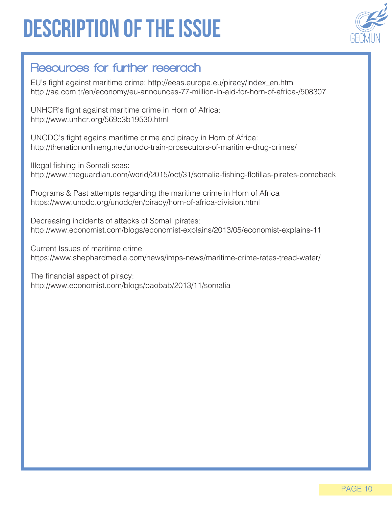

#### Resources for further reserach

EU's fight against maritime crime: http://eeas.europa.eu/piracy/index\_en.htm http://aa.com.tr/en/economy/eu-announces-77-million-in-aid-for-horn-of-africa-/508307

UNHCR's fight against maritime crime in Horn of Africa: http://www.unhcr.org/569e3b19530.html

UNODC's fight agains maritime crime and piracy in Horn of Africa: http://thenationonlineng.net/unodc-train-prosecutors-of-maritime-drug-crimes/

Illegal fishing in Somali seas: http://www.theguardian.com/world/2015/oct/31/somalia-fishing-flotillas-pirates-comeback

Programs & Past attempts regarding the maritime crime in Horn of Africa https://www.unodc.org/unodc/en/piracy/horn-of-africa-division.html

Decreasing incidents of attacks of Somali pirates: http://www.economist.com/blogs/economist-explains/2013/05/economist-explains-11

Current Issues of maritime crime https://www.shephardmedia.com/news/imps-news/maritime-crime-rates-tread-water/

The financial aspect of piracy: http://www.economist.com/blogs/baobab/2013/11/somalia